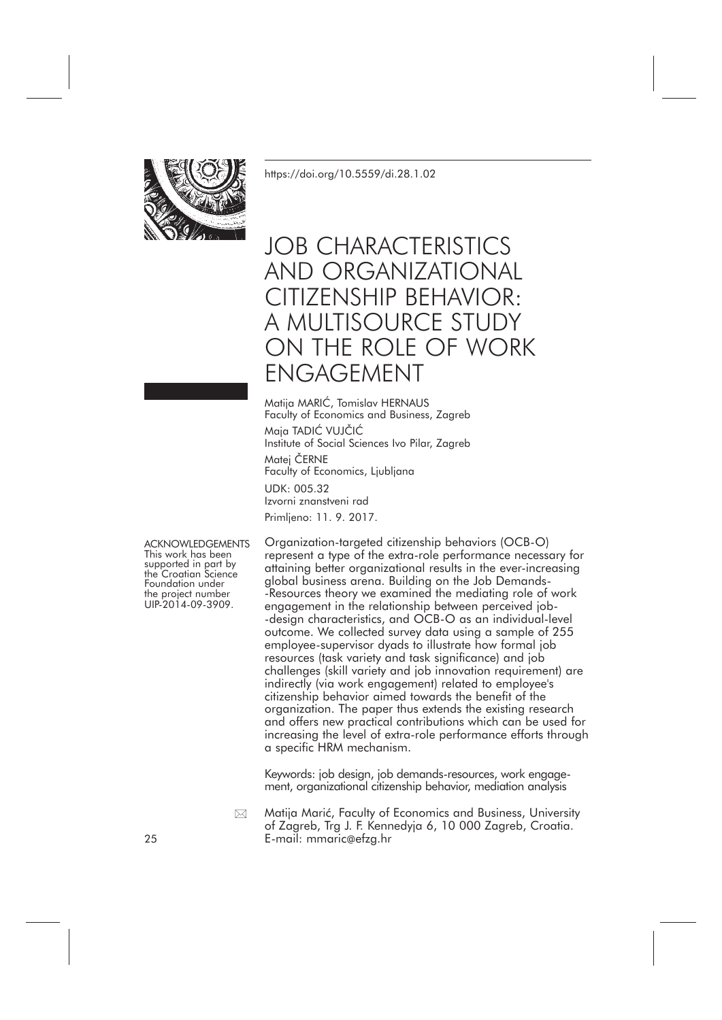

<https://doi.org/10.5559/di.28.1.02>

# JOB CHARACTERISTICS AND ORGANIZATIONAL CITIZENSHIP BEHAVIOR: A MULTISOURCE STUDY ON THE ROLE OF WORK ENGAGEMENT

Matija MARIĆ, Tomislav HERNAUS Faculty of Economics and Business, Zagreb Maja TADIĆ VUJČIĆ Institute of Social Sciences Ivo Pilar, Zagreb Matej ČERNE Faculty of Economics, Ljubljana UDK: 005.32 Izvorni znanstveni rad Primljeno: 11. 9. 2017.

ACKNOWLEDGEMENTS<br>This work has been This work has been<br>supported in part by the Croatian Science<br>Foundation under<br>the project number UIP-2014-09-3909.

Organization-targeted citizenship behaviors (OCB-O) represent a type of the extra-role performance necessary for attaining better organizational results in the ever-increasing global business arena. Building on the Job Demands- -Resources theory we examined the mediating role of work engagement in the relationship between perceived job- -design characteristics, and OCB-O as an individual-level outcome. We collected survey data using a sample of 255 employee-supervisor dyads to illustrate how formal job resources (task variety and task significance) and job challenges (skill variety and job innovation requirement) are indirectly (via work engagement) related to employee's citizenship behavior aimed towards the benefit of the organization. The paper thus extends the existing research and offers new practical contributions which can be used for increasing the level of extra-role performance efforts through a specific HRM mechanism.

Keywords: job design, job demands-resources, work engagement, organizational citizenship behavior, mediation analysis

Matija Marić, Faculty of Economics and Business, University of Zagreb, Trg J. F. Kennedyja 6, 10 000 Zagreb, Croatia. 25 E-mail: mmaric@efzg.hr  $\boxtimes$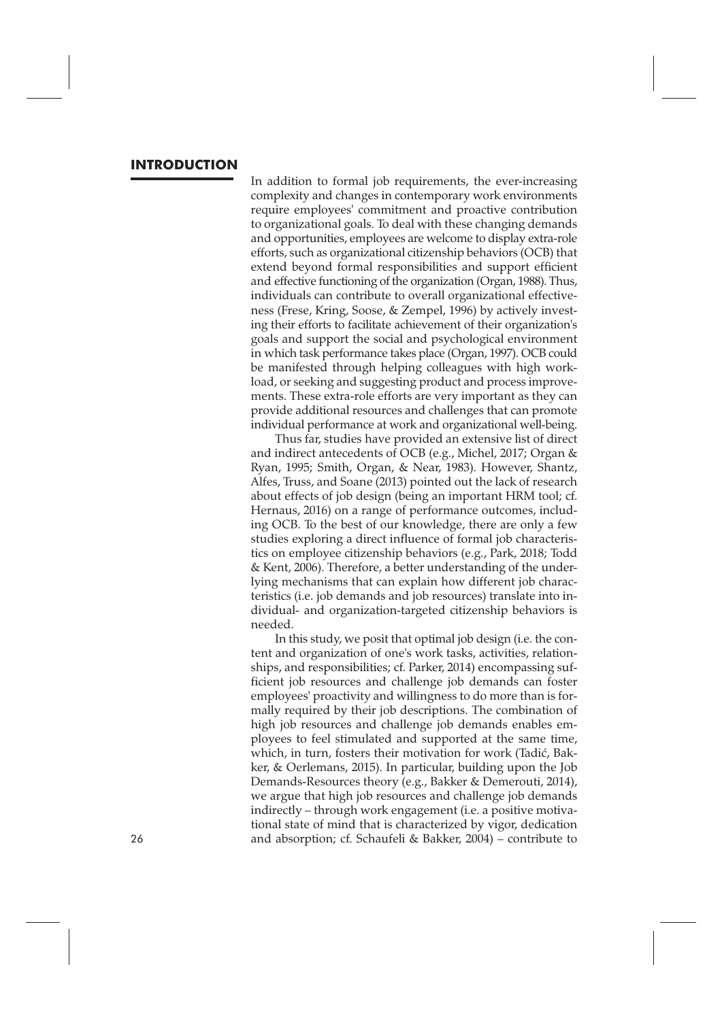# **INTRODUCTION**

In addition to formal job requirements, the ever-increasing complexity and changes in contemporary work environments require employees' commitment and proactive contribution to organizational goals. To deal with these changing demands and opportunities, employees are welcome to display extra-role efforts, such as organizational citizenship behaviors (OCB) that extend beyond formal responsibilities and support efficient and effective functioning of the organization (Organ, 1988). Thus, individuals can contribute to overall organizational effectiveness (Frese, Kring, Soose, & Zempel, 1996) by actively investing their efforts to facilitate achievement of their organization's goals and support the social and psychological environment in which task performance takes place (Organ, 1997). OCB could be manifested through helping colleagues with high workload, or seeking and suggesting product and process improvements. These extra-role efforts are very important as they can provide additional resources and challenges that can promote individual performance at work and organizational well-being.

Thus far, studies have provided an extensive list of direct and indirect antecedents of OCB (e.g., Michel, 2017; Organ & Ryan, 1995; Smith, Organ, & Near, 1983). However, Shantz, Alfes, Truss, and Soane (2013) pointed out the lack of research about effects of job design (being an important HRM tool; cf. Hernaus, 2016) on a range of performance outcomes, including OCB. To the best of our knowledge, there are only a few studies exploring a direct influence of formal job characteristics on employee citizenship behaviors (e.g., Park, 2018; Todd & Kent, 2006). Therefore, a better understanding of the underlying mechanisms that can explain how different job characteristics (i.e. job demands and job resources) translate into individual- and organization-targeted citizenship behaviors is needed.

In this study, we posit that optimal job design (i.e. the content and organization of one's work tasks, activities, relationships, and responsibilities; cf. Parker, 2014) encompassing sufficient job resources and challenge job demands can foster employees' proactivity and willingness to do more than is formally required by their job descriptions. The combination of high job resources and challenge job demands enables employees to feel stimulated and supported at the same time, which, in turn, fosters their motivation for work (Tadić, Bakker, & Oerlemans, 2015). In particular, building upon the Job Demands-Resources theory (e.g., Bakker & Demerouti, 2014), we argue that high job resources and challenge job demands indirectly – through work engagement (i.e. a positive motivational state of mind that is characterized by vigor, dedication 26 and absorption; cf. Schaufeli & Bakker, 2004) – contribute to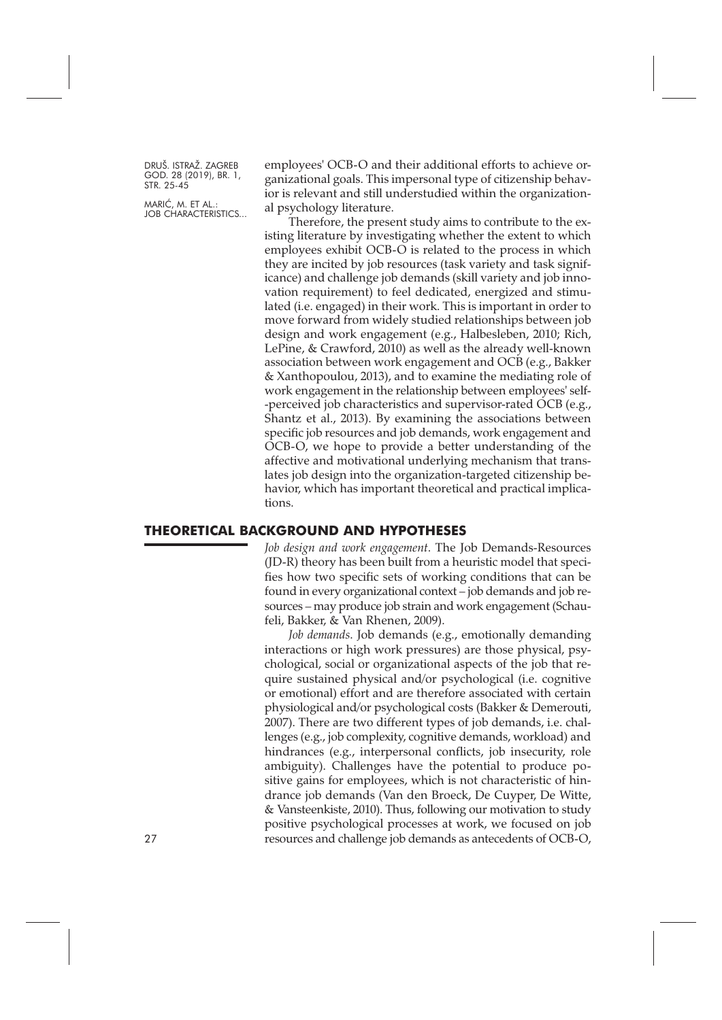MARIĆ, M. ET AL.: JOB CHARACTERISTICS... employees' OCB-O and their additional efforts to achieve organizational goals. This impersonal type of citizenship behavior is relevant and still understudied within the organizational psychology literature.

Therefore, the present study aims to contribute to the existing literature by investigating whether the extent to which employees exhibit OCB-O is related to the process in which they are incited by job resources (task variety and task significance) and challenge job demands (skill variety and job innovation requirement) to feel dedicated, energized and stimulated (i.e. engaged) in their work. This is important in order to move forward from widely studied relationships between job design and work engagement (e.g., Halbesleben, 2010; Rich, LePine, & Crawford, 2010) as well as the already well-known association between work engagement and OCB (e.g., Bakker & Xanthopoulou, 2013), and to examine the mediating role of work engagement in the relationship between employees' self- -perceived job characteristics and supervisor-rated OCB (e.g., Shantz et al., 2013). By examining the associations between specific job resources and job demands, work engagement and OCB-O, we hope to provide a better understanding of the affective and motivational underlying mechanism that translates job design into the organization-targeted citizenship behavior, which has important theoretical and practical implications.

# **THEORETICAL BACKGROUND AND HYPOTHESES**

*Job design and work engagement*. The Job Demands-Resources (JD-R) theory has been built from a heuristic model that specifies how two specific sets of working conditions that can be found in every organizational context – job demands and job resources – may produce job strain and work engagement (Schaufeli, Bakker, & Van Rhenen, 2009).

*Job demands*. Job demands (e.g., emotionally demanding interactions or high work pressures) are those physical, psychological, social or organizational aspects of the job that require sustained physical and/or psychological (i.e. cognitive or emotional) effort and are therefore associated with certain physiological and/or psychological costs (Bakker & Demerouti, 2007). There are two different types of job demands, i.e. challenges (e.g., job complexity, cognitive demands, workload) and hindrances (e.g., interpersonal conflicts, job insecurity, role ambiguity). Challenges have the potential to produce positive gains for employees, which is not characteristic of hindrance job demands (Van den Broeck, De Cuyper, De Witte, & Vansteenkiste, 2010). Thus, following our motivation to study positive psychological processes at work, we focused on job 27 resources and challenge job demands as antecedents of OCB-O,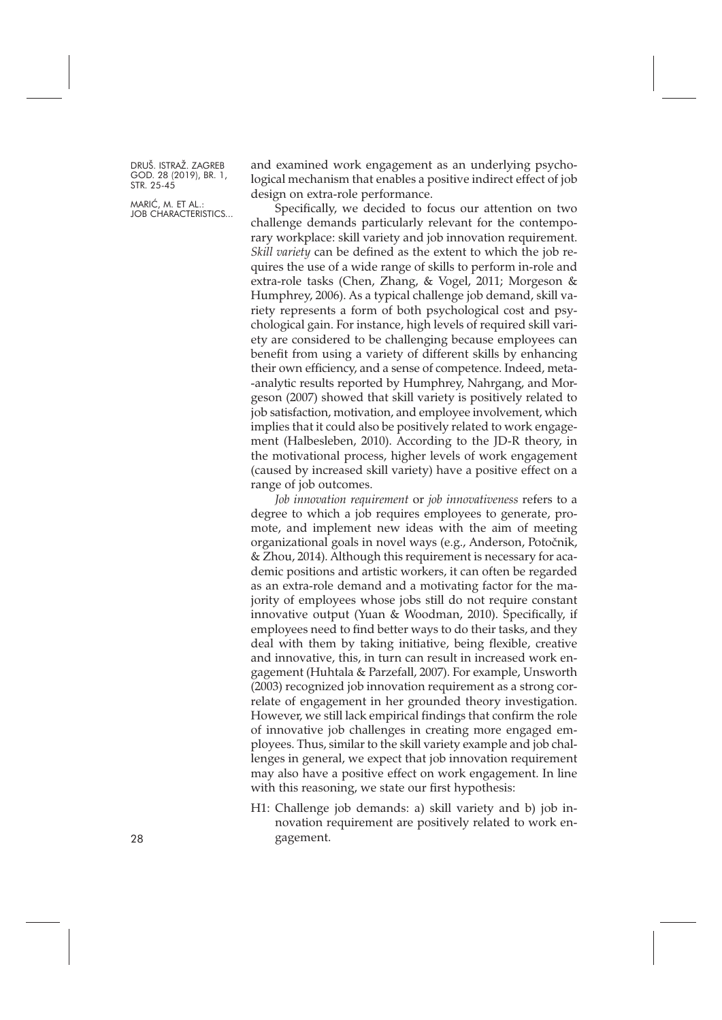MARIĆ, M. ET AL.: JOB CHARACTERISTICS... and examined work engagement as an underlying psychological mechanism that enables a positive indirect effect of job design on extra-role performance.

Specifically, we decided to focus our attention on two challenge demands particularly relevant for the contemporary workplace: skill variety and job innovation requirement. *Skill variety* can be defined as the extent to which the job requires the use of a wide range of skills to perform in-role and extra-role tasks (Chen, Zhang, & Vogel, 2011; Morgeson & Humphrey, 2006). As a typical challenge job demand, skill variety represents a form of both psychological cost and psychological gain. For instance, high levels of required skill variety are considered to be challenging because employees can benefit from using a variety of different skills by enhancing their own efficiency, and a sense of competence. Indeed, meta- -analytic results reported by Humphrey, Nahrgang, and Morgeson (2007) showed that skill variety is positively related to job satisfaction, motivation, and employee involvement, which implies that it could also be positively related to work engagement (Halbesleben, 2010). According to the JD-R theory, in the motivational process, higher levels of work engagement (caused by increased skill variety) have a positive effect on a range of job outcomes.

*Job innovation requirement* or *job innovativeness* refers to a degree to which a job requires employees to generate, promote, and implement new ideas with the aim of meeting organizational goals in novel ways (e.g., Anderson, Potočnik, & Zhou, 2014). Although this requirement is necessary for academic positions and artistic workers, it can often be regarded as an extra-role demand and a motivating factor for the majority of employees whose jobs still do not require constant innovative output (Yuan & Woodman, 2010). Specifically, if employees need to find better ways to do their tasks, and they deal with them by taking initiative, being flexible, creative and innovative, this, in turn can result in increased work engagement (Huhtala & Parzefall, 2007). For example, Unsworth (2003) recognized job innovation requirement as a strong correlate of engagement in her grounded theory investigation. However, we still lack empirical findings that confirm the role of innovative job challenges in creating more engaged employees. Thus, similar to the skill variety example and job challenges in general, we expect that job innovation requirement may also have a positive effect on work engagement. In line with this reasoning, we state our first hypothesis:

H1: Challenge job demands: a) skill variety and b) job innovation requirement are positively related to work engagement.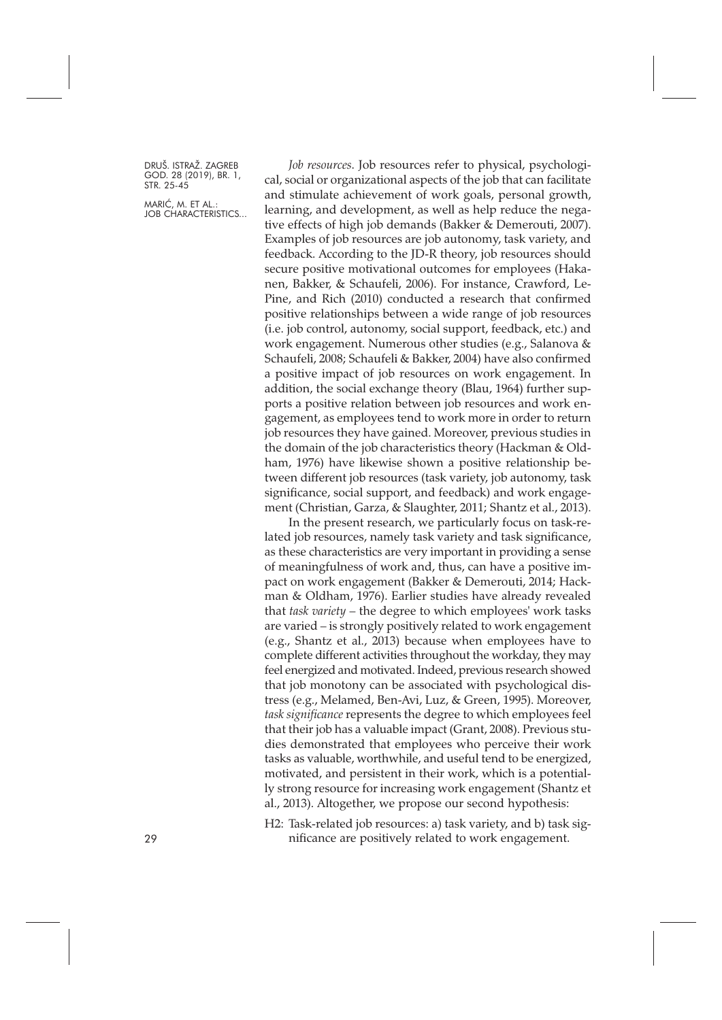MARIĆ, M. ET AL.: JOB CHARACTERISTICS...

*Job resources*. Job resources refer to physical, psychological, social or organizational aspects of the job that can facilitate and stimulate achievement of work goals, personal growth, learning, and development, as well as help reduce the negative effects of high job demands (Bakker & Demerouti, 2007). Examples of job resources are job autonomy, task variety, and feedback. According to the JD-R theory, job resources should secure positive motivational outcomes for employees (Hakanen, Bakker, & Schaufeli, 2006). For instance, Crawford, Le-Pine, and Rich (2010) conducted a research that confirmed positive relationships between a wide range of job resources (i.e. job control, autonomy, social support, feedback, etc.) and work engagement. Numerous other studies (e.g., Salanova & Schaufeli, 2008; Schaufeli & Bakker, 2004) have also confirmed a positive impact of job resources on work engagement. In addition, the social exchange theory (Blau, 1964) further supports a positive relation between job resources and work engagement, as employees tend to work more in order to return job resources they have gained. Moreover, previous studies in the domain of the job characteristics theory (Hackman & Oldham, 1976) have likewise shown a positive relationship between different job resources (task variety, job autonomy, task significance, social support, and feedback) and work engagement (Christian, Garza, & Slaughter, 2011; Shantz et al., 2013).

In the present research, we particularly focus on task-related job resources, namely task variety and task significance, as these characteristics are very important in providing a sense of meaningfulness of work and, thus, can have a positive impact on work engagement (Bakker & Demerouti, 2014; Hackman & Oldham, 1976). Earlier studies have already revealed that *task variety* – the degree to which employees' work tasks are varied – is strongly positively related to work engagement (e.g., Shantz et al., 2013) because when employees have to complete different activities throughout the workday, they may feel energized and motivated. Indeed, previous research showed that job monotony can be associated with psychological distress (e.g., Melamed, Ben-Avi, Luz, & Green, 1995). Moreover, *task significance* represents the degree to which employees feel that their job has a valuable impact (Grant, 2008). Previous studies demonstrated that employees who perceive their work tasks as valuable, worthwhile, and useful tend to be energized, motivated, and persistent in their work, which is a potentially strong resource for increasing work engagement (Shantz et al., 2013). Altogether, we propose our second hypothesis:

H2: Task-related job resources: a) task variety, and b) task sig-29 nificance are positively related to work engagement.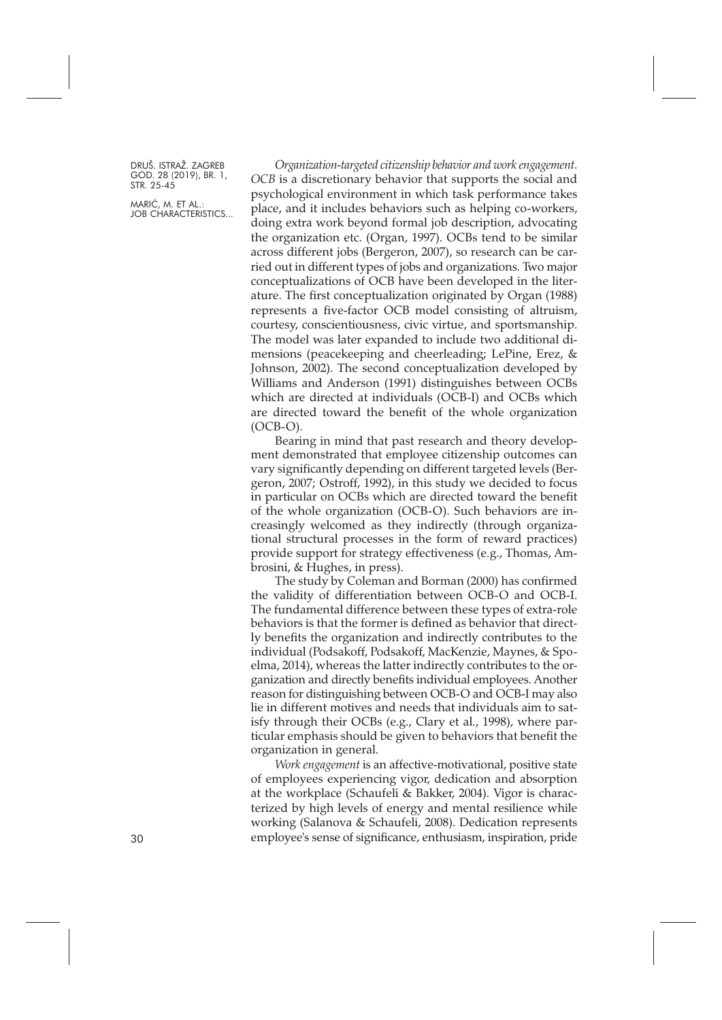MARIĆ, M. ET AL.: JOB CHARACTERISTICS...

*Organization-targeted citizenship behavior and work engagement*. *OCB* is a discretionary behavior that supports the social and psychological environment in which task performance takes place, and it includes behaviors such as helping co-workers, doing extra work beyond formal job description, advocating the organization etc. (Organ, 1997). OCBs tend to be similar across different jobs (Bergeron, 2007), so research can be carried out in different types of jobs and organizations. Two major conceptualizations of OCB have been developed in the literature. The first conceptualization originated by Organ (1988) represents a five-factor OCB model consisting of altruism, courtesy, conscientiousness, civic virtue, and sportsmanship. The model was later expanded to include two additional dimensions (peacekeeping and cheerleading; LePine, Erez, & Johnson, 2002). The second conceptualization developed by Williams and Anderson (1991) distinguishes between OCBs which are directed at individuals (OCB-I) and OCBs which are directed toward the benefit of the whole organization (OCB-O).

Bearing in mind that past research and theory development demonstrated that employee citizenship outcomes can vary significantly depending on different targeted levels (Bergeron, 2007; Ostroff, 1992), in this study we decided to focus in particular on OCBs which are directed toward the benefit of the whole organization (OCB-O). Such behaviors are increasingly welcomed as they indirectly (through organizational structural processes in the form of reward practices) provide support for strategy effectiveness (e.g., Thomas, Ambrosini, & Hughes, in press).

The study by Coleman and Borman (2000) has confirmed the validity of differentiation between OCB-O and OCB-I. The fundamental difference between these types of extra-role behaviors is that the former is defined as behavior that directly benefits the organization and indirectly contributes to the individual (Podsakoff, Podsakoff, MacKenzie, Maynes, & Spoelma, 2014), whereas the latter indirectly contributes to the organization and directly benefits individual employees. Another reason for distinguishing between OCB-O and OCB-I may also lie in different motives and needs that individuals aim to satisfy through their OCBs (e.g., Clary et al., 1998), where particular emphasis should be given to behaviors that benefit the organization in general.

*Work engagement* is an affective-motivational, positive state of employees experiencing vigor, dedication and absorption at the workplace (Schaufeli & Bakker, 2004). Vigor is characterized by high levels of energy and mental resilience while working (Salanova & Schaufeli, 2008). Dedication represents employee's sense of significance, enthusiasm, inspiration, pride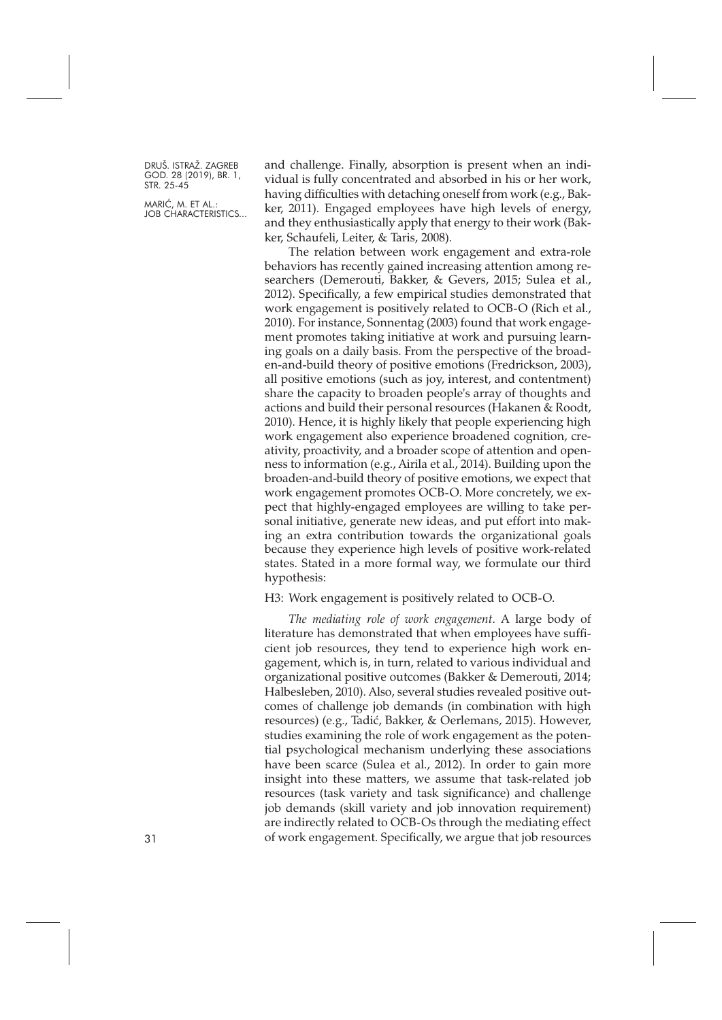MARIĆ, M. ET AL.: JOB CHARACTERISTICS... and challenge. Finally, absorption is present when an individual is fully concentrated and absorbed in his or her work, having difficulties with detaching oneself from work (e.g., Bakker, 2011). Engaged employees have high levels of energy, and they enthusiastically apply that energy to their work (Bakker, Schaufeli, Leiter, & Taris, 2008).

The relation between work engagement and extra-role behaviors has recently gained increasing attention among researchers (Demerouti, Bakker, & Gevers, 2015; Sulea et al., 2012). Specifically, a few empirical studies demonstrated that work engagement is positively related to OCB-O (Rich et al., 2010). For instance, Sonnentag (2003) found that work engagement promotes taking initiative at work and pursuing learning goals on a daily basis. From the perspective of the broaden-and-build theory of positive emotions (Fredrickson, 2003), all positive emotions (such as joy, interest, and contentment) share the capacity to broaden people's array of thoughts and actions and build their personal resources (Hakanen & Roodt, 2010). Hence, it is highly likely that people experiencing high work engagement also experience broadened cognition, creativity, proactivity, and a broader scope of attention and openness to information (e.g., Airila et al., 2014). Building upon the broaden-and-build theory of positive emotions, we expect that work engagement promotes OCB-O. More concretely, we expect that highly-engaged employees are willing to take personal initiative, generate new ideas, and put effort into making an extra contribution towards the organizational goals because they experience high levels of positive work-related states. Stated in a more formal way, we formulate our third hypothesis:

H3: Work engagement is positively related to OCB-O.

*The mediating role of work engagement*. A large body of literature has demonstrated that when employees have sufficient job resources, they tend to experience high work engagement, which is, in turn, related to various individual and organizational positive outcomes (Bakker & Demerouti, 2014; Halbesleben, 2010). Also, several studies revealed positive outcomes of challenge job demands (in combination with high resources) (e.g., Tadić, Bakker, & Oerlemans, 2015). However, studies examining the role of work engagement as the potential psychological mechanism underlying these associations have been scarce (Sulea et al., 2012). In order to gain more insight into these matters, we assume that task-related job resources (task variety and task significance) and challenge job demands (skill variety and job innovation requirement) are indirectly related to OCB-Os through the mediating effect 31 of work engagement. Specifically, we argue that job resources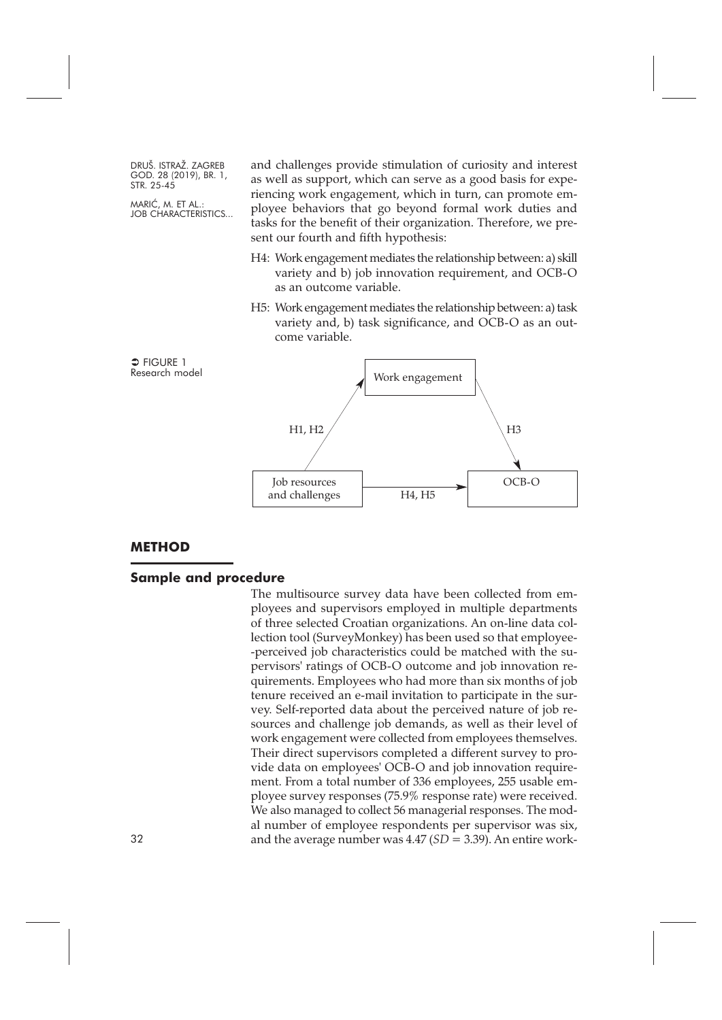MARIĆ, M. ET AL.: JOB CHARACTERISTICS... and challenges provide stimulation of curiosity and interest as well as support, which can serve as a good basis for experiencing work engagement, which in turn, can promote employee behaviors that go beyond formal work duties and tasks for the benefit of their organization. Therefore, we present our fourth and fifth hypothesis:

- H4: Work engagement mediates the relationship between: a) skill variety and b) job innovation requirement, and OCB-O as an outcome variable.
- H5: Work engagement mediates the relationship between: a) task variety and, b) task significance, and OCB-O as an outcome variable.



# **METHOD**

#### **Sample and procedure**

The multisource survey data have been collected from employees and supervisors employed in multiple departments of three selected Croatian organizations. An on-line data collection tool (SurveyMonkey) has been used so that employee- -perceived job characteristics could be matched with the supervisors' ratings of OCB-O outcome and job innovation requirements. Employees who had more than six months of job tenure received an e-mail invitation to participate in the survey. Self-reported data about the perceived nature of job resources and challenge job demands, as well as their level of work engagement were collected from employees themselves. Their direct supervisors completed a different survey to provide data on employees' OCB-O and job innovation requirement. From a total number of 336 employees, 255 usable employee survey responses (75.9% response rate) were received. We also managed to collect 56 managerial responses. The modal number of employee respondents per supervisor was six, and the average number was 4.47 (*SD* = 3.39). An entire work-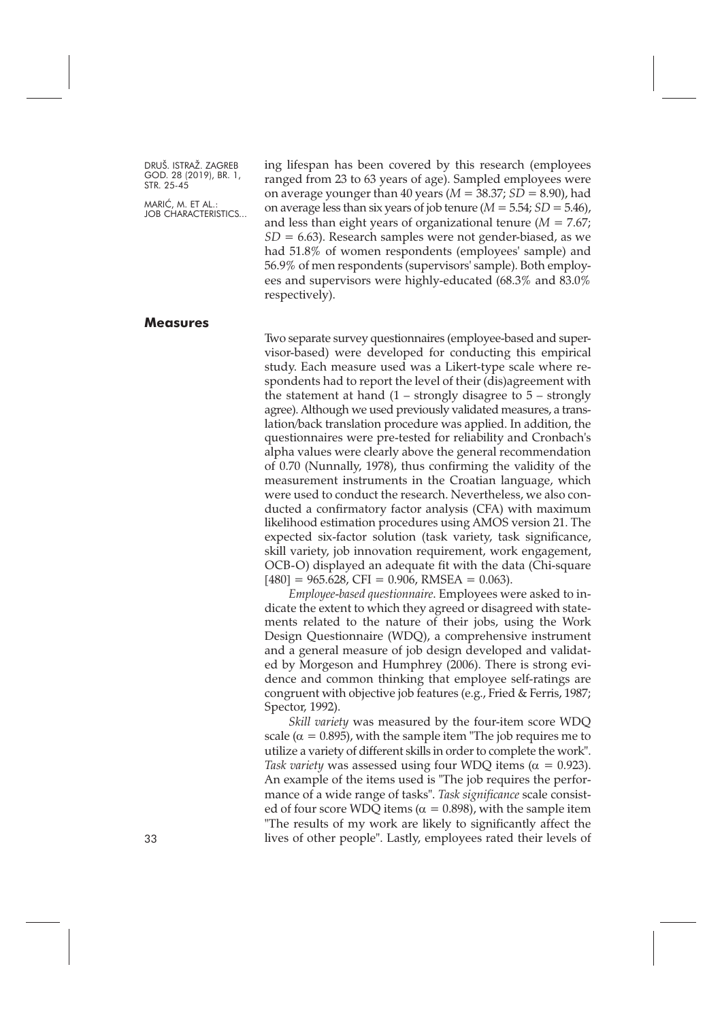MARIĆ, M. ET AL.: JOB CHARACTERISTICS... ing lifespan has been covered by this research (employees ranged from 23 to 63 years of age). Sampled employees were on average younger than 40 years (*M =* 38.37; *SD* = 8.90), had on average less than six years of job tenure  $(M = 5.54; SD = 5.46)$ , and less than eight years of organizational tenure (*M =* 7.67; *SD* = 6.63). Research samples were not gender-biased, as we had 51.8% of women respondents (employees' sample) and 56.9% of men respondents (supervisors' sample). Both employees and supervisors were highly-educated (68.3% and 83.0% respectively).

#### **Measures**

Two separate survey questionnaires (employee-based and supervisor-based) were developed for conducting this empirical study. Each measure used was a Likert-type scale where respondents had to report the level of their (dis)agreement with the statement at hand  $(1 -$  strongly disagree to  $5 -$  strongly agree). Although we used previously validated measures, a translation/back translation procedure was applied. In addition, the questionnaires were pre-tested for reliability and Cronbach's alpha values were clearly above the general recommendation of 0.70 (Nunnally, 1978), thus confirming the validity of the measurement instruments in the Croatian language, which were used to conduct the research. Nevertheless, we also conducted a confirmatory factor analysis (CFA) with maximum likelihood estimation procedures using AMOS version 21. The expected six-factor solution (task variety, task significance, skill variety, job innovation requirement, work engagement, OCB-O) displayed an adequate fit with the data (Chi-square  $[480] = 965.628$ , CFI = 0.906, RMSEA = 0.063).

*Employee-based questionnaire*. Employees were asked to indicate the extent to which they agreed or disagreed with statements related to the nature of their jobs, using the Work Design Questionnaire (WDQ), a comprehensive instrument and a general measure of job design developed and validated by Morgeson and Humphrey (2006). There is strong evidence and common thinking that employee self-ratings are congruent with objective job features (e.g., Fried & Ferris, 1987; Spector, 1992).

*Skill variety* was measured by the four-item score WDQ scale ( $\alpha = 0.895$ ), with the sample item "The job requires me to utilize a variety of different skills in order to complete the work". *Task variety* was assessed using four WDQ items ( $\alpha = 0.923$ ). An example of the items used is "The job requires the performance of a wide range of tasks". *Task significance* scale consisted of four score WDQ items ( $\alpha = 0.898$ ), with the sample item "The results of my work are likely to significantly affect the 33 lives of other people". Lastly, employees rated their levels of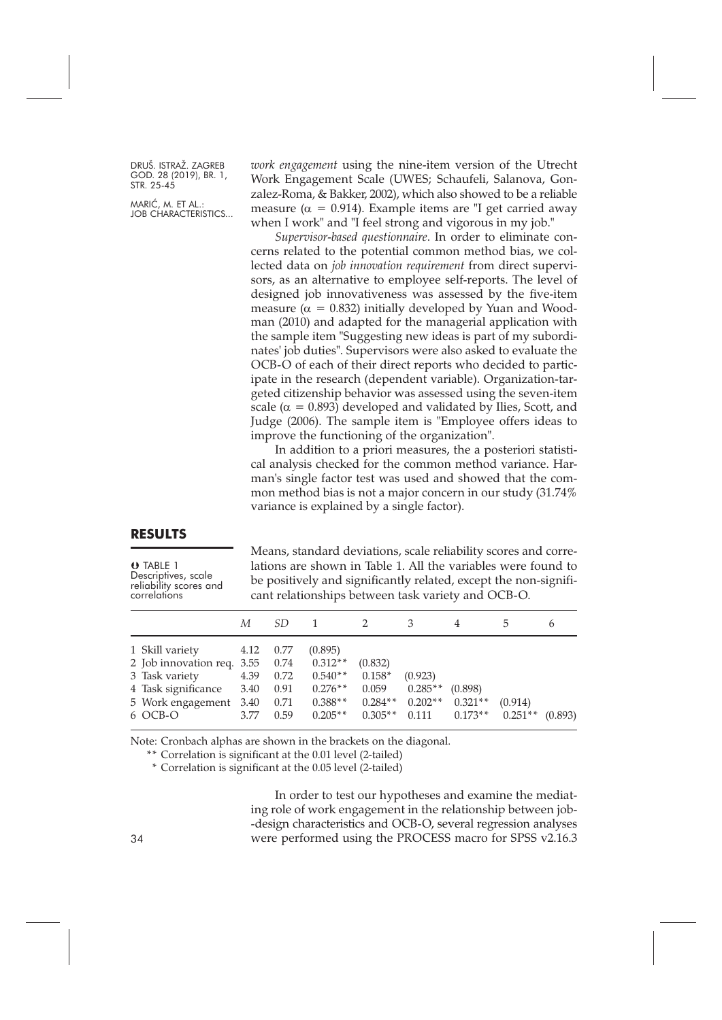MARIĆ, M. ET AL.: JOB CHARACTERISTICS... *work engagement* using the nine-item version of the Utrecht Work Engagement Scale (UWES; Schaufeli, Salanova, Gonzalez-Roma, & Bakker, 2002), which also showed to be a reliable measure ( $\alpha = 0.914$ ). Example items are "I get carried away when I work" and "I feel strong and vigorous in my job."

*Supervisor-based questionnaire*. In order to eliminate concerns related to the potential common method bias, we collected data on *job innovation requirement* from direct supervisors, as an alternative to employee self-reports. The level of designed job innovativeness was assessed by the five-item measure ( $\alpha = 0.832$ ) initially developed by Yuan and Woodman (2010) and adapted for the managerial application with the sample item "Suggesting new ideas is part of my subordinates' job duties". Supervisors were also asked to evaluate the OCB-O of each of their direct reports who decided to participate in the research (dependent variable). Organization-targeted citizenship behavior was assessed using the seven-item scale ( $\alpha$  = 0.893) developed and validated by Ilies, Scott, and Judge (2006). The sample item is "Employee offers ideas to improve the functioning of the organization".

In addition to a priori measures, the a posteriori statistical analysis checked for the common method variance. Harman's single factor test was used and showed that the common method bias is not a major concern in our study (31.74% variance is explained by a single factor).

#### **RESULTS**

**O** TABLE 1<br>Descriptives, scale reliability scores and<br>correlations Means, standard deviations, scale reliability scores and correlations are shown in Table 1. All the variables were found to be positively and significantly related, except the non-significant relationships between task variety and OCB-O.

|                                                                                                                             | М                            | SD.                                          |                                                                          |                                                        |                                            | 4                                 | b.                   | 6       |
|-----------------------------------------------------------------------------------------------------------------------------|------------------------------|----------------------------------------------|--------------------------------------------------------------------------|--------------------------------------------------------|--------------------------------------------|-----------------------------------|----------------------|---------|
| 1 Skill variety<br>2 Job innovation req. 3.55<br>3 Task variety<br>4 Task significance 3.40<br>5 Work engagement<br>6 OCB-O | 4.12<br>4.39<br>3.40<br>3.77 | 0.77<br>0.74<br>0.72<br>0.91<br>0.71<br>0.59 | (0.895)<br>$0.312**$<br>$0.540**$<br>$0.276**$<br>$0.388**$<br>$0.205**$ | (0.832)<br>$0.158*$<br>0.059<br>$0.284**$<br>$0.305**$ | (0.923)<br>$0.285**$<br>$0.202**$<br>0.111 | (0.898)<br>$0.321**$<br>$0.173**$ | (0.914)<br>$0.251**$ | (0.893) |

Note: Cronbach alphas are shown in the brackets on the diagonal.

\*\* Correlation is significant at the 0.01 level (2-tailed)

\* Correlation is significant at the 0.05 level (2-tailed)

In order to test our hypotheses and examine the mediating role of work engagement in the relationship between job- -design characteristics and OCB-O, several regression analyses were performed using the PROCESS macro for SPSS v2.16.3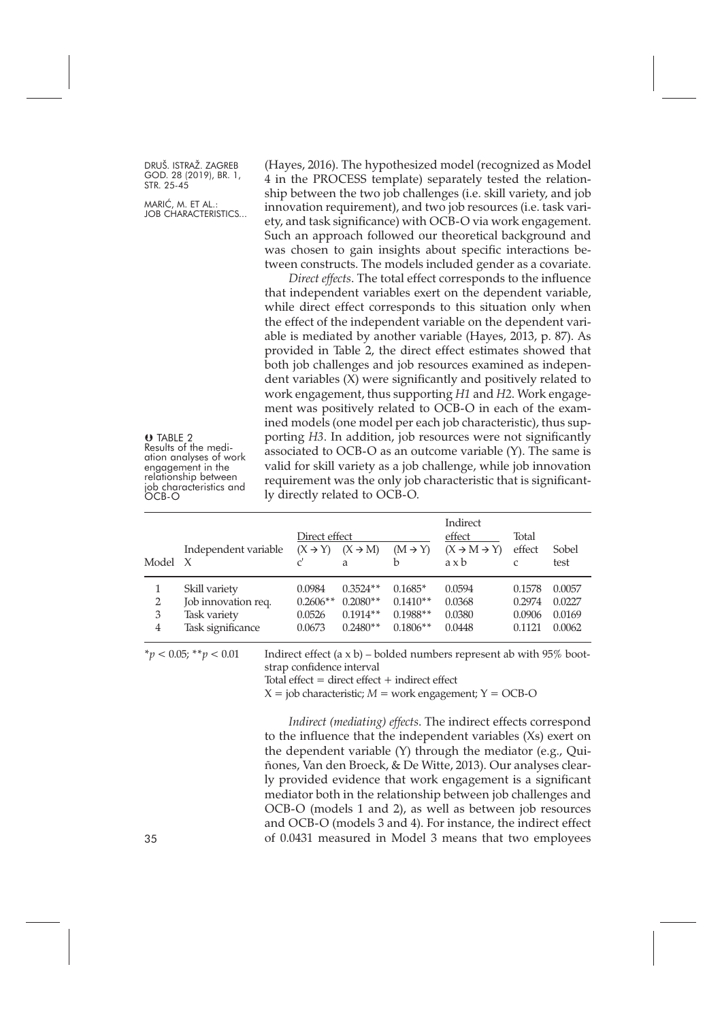MARIĆ, M. ET AL.: JOB CHARACTERISTICS...

**U** TABLE 2<br>Results of the medi-

ation analyses of work<br>engagement in the<br>relationship between

job characteristics and<br>OCB-O

(Hayes, 2016). The hypothesized model (recognized as Model 4 in the PROCESS template) separately tested the relationship between the two job challenges (i.e. skill variety, and job innovation requirement), and two job resources (i.e. task variety, and task significance) with OCB-O via work engagement. Such an approach followed our theoretical background and was chosen to gain insights about specific interactions between constructs. The models included gender as a covariate.

*Direct effects*. The total effect corresponds to the influence that independent variables exert on the dependent variable, while direct effect corresponds to this situation only when the effect of the independent variable on the dependent variable is mediated by another variable (Hayes, 2013, p. 87). As provided in Table 2, the direct effect estimates showed that both job challenges and job resources examined as independent variables (X) were significantly and positively related to work engagement, thus supporting *H1* and *H2*. Work engagement was positively related to OCB-O in each of the examined models (one model per each job characteristic), thus supporting *H3*. In addition, job resources were not significantly associated to OCB-O as an outcome variable (Y). The same is valid for skill variety as a job challenge, while job innovation requirement was the only job characteristic that is significantly directly related to OCB-O.

| Model X        | Independent variable | Direct effect<br>$(X \rightarrow Y)$<br>C | $(X \rightarrow M)$<br>a | $(M \rightarrow Y)$<br>b | Indirect<br>effect<br>$(X \rightarrow M \rightarrow Y)$<br>axb | Total<br>effect<br>C | Sobel<br>test |
|----------------|----------------------|-------------------------------------------|--------------------------|--------------------------|----------------------------------------------------------------|----------------------|---------------|
| 1              | Skill variety        | 0.0984                                    | $0.3524**$               | $0.1685*$                | 0.0594                                                         | 0.1578               | 0.0057        |
| $\overline{2}$ | Job innovation req.  | $0.2606**$                                | $0.2080**$               | $0.1410**$               | 0.0368                                                         | 0.2974               | 0.0227        |
| 3              | Task variety         | 0.0526                                    | $0.1914**$               | $0.1988**$               | 0.0380                                                         | 0.0906               | 0.0169        |
| 4              | Task significance    | 0.0673                                    | $0.2480**$               | $0.1806**$               | 0.0448                                                         | 0.1121               | 0.0062        |

 $*p < 0.05;$   $*^*p < 0.01$  Indirect effect (a x b) – bolded numbers represent ab with 95% bootstrap confidence interval

Total effect  $=$  direct effect  $+$  indirect effect

 $X = job$  characteristic;  $M = work$  engagement;  $Y = OCB-O$ 

*Indirect (mediating) effects*. The indirect effects correspond to the influence that the independent variables (Xs) exert on the dependent variable (Y) through the mediator (e.g., Quiñones, Van den Broeck, & De Witte, 2013). Our analyses clearly provided evidence that work engagement is a significant mediator both in the relationship between job challenges and OCB-O (models 1 and 2), as well as between job resources and OCB-O (models 3 and 4). For instance, the indirect effect 35 of 0.0431 measured in Model 3 means that two employees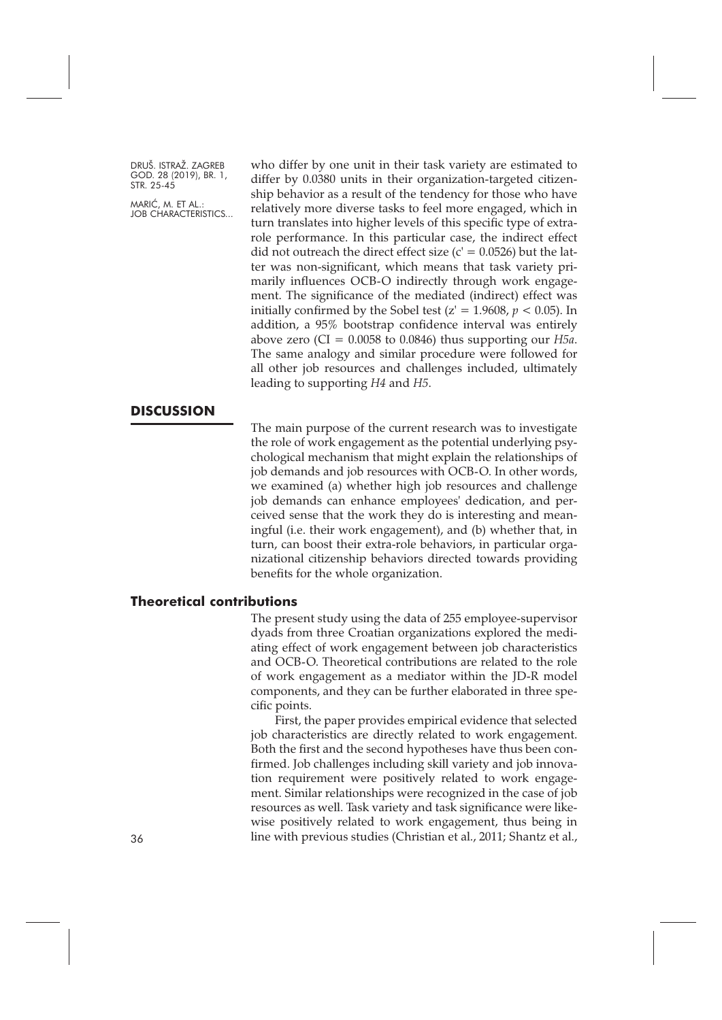MARIĆ, M. ET AL.: JOB CHARACTERISTICS... who differ by one unit in their task variety are estimated to differ by 0.0380 units in their organization-targeted citizenship behavior as a result of the tendency for those who have relatively more diverse tasks to feel more engaged, which in turn translates into higher levels of this specific type of extrarole performance. In this particular case, the indirect effect did not outreach the direct effect size ( $c' = 0.0526$ ) but the latter was non-significant, which means that task variety primarily influences OCB-O indirectly through work engagement. The significance of the mediated (indirect) effect was initially confirmed by the Sobel test ( $z' = 1.9608$ ,  $p < 0.05$ ). In addition, a 95% bootstrap confidence interval was entirely above zero (CI = 0.0058 to 0.0846) thus supporting our *H5a*. The same analogy and similar procedure were followed for all other job resources and challenges included, ultimately leading to supporting *H4* and *H5*.

# **DISCUSSION**

The main purpose of the current research was to investigate the role of work engagement as the potential underlying psychological mechanism that might explain the relationships of job demands and job resources with OCB-O. In other words, we examined (a) whether high job resources and challenge job demands can enhance employees' dedication, and perceived sense that the work they do is interesting and meaningful (i.e. their work engagement), and (b) whether that, in turn, can boost their extra-role behaviors, in particular organizational citizenship behaviors directed towards providing benefits for the whole organization.

### **Theoretical contributions**

The present study using the data of 255 employee-supervisor dyads from three Croatian organizations explored the mediating effect of work engagement between job characteristics and OCB-O. Theoretical contributions are related to the role of work engagement as a mediator within the JD-R model components, and they can be further elaborated in three specific points.

First, the paper provides empirical evidence that selected job characteristics are directly related to work engagement. Both the first and the second hypotheses have thus been confirmed. Job challenges including skill variety and job innovation requirement were positively related to work engagement. Similar relationships were recognized in the case of job resources as well. Task variety and task significance were likewise positively related to work engagement, thus being in line with previous studies (Christian et al., 2011; Shantz et al.,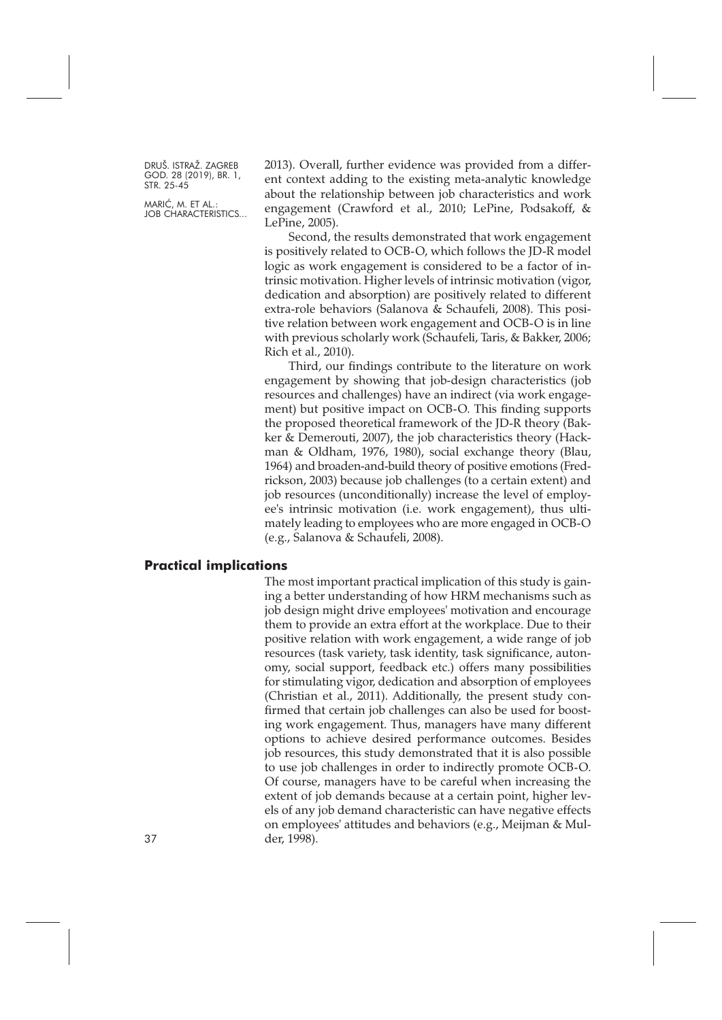MARIĆ, M. ET AL.: JOB CHARACTERISTICS... 2013). Overall, further evidence was provided from a different context adding to the existing meta-analytic knowledge about the relationship between job characteristics and work engagement (Crawford et al., 2010; LePine, Podsakoff, & LePine, 2005).

Second, the results demonstrated that work engagement is positively related to OCB-O, which follows the JD-R model logic as work engagement is considered to be a factor of intrinsic motivation. Higher levels of intrinsic motivation (vigor, dedication and absorption) are positively related to different extra-role behaviors (Salanova & Schaufeli, 2008). This positive relation between work engagement and OCB-O is in line with previous scholarly work (Schaufeli, Taris, & Bakker, 2006; Rich et al., 2010).

Third, our findings contribute to the literature on work engagement by showing that job-design characteristics (job resources and challenges) have an indirect (via work engagement) but positive impact on OCB-O. This finding supports the proposed theoretical framework of the JD-R theory (Bakker & Demerouti, 2007), the job characteristics theory (Hackman & Oldham, 1976, 1980), social exchange theory (Blau, 1964) and broaden-and-build theory of positive emotions (Fredrickson, 2003) because job challenges (to a certain extent) and job resources (unconditionally) increase the level of employee's intrinsic motivation (i.e. work engagement), thus ultimately leading to employees who are more engaged in OCB-O (e.g., Salanova & Schaufeli, 2008).

# **Practical implications**

The most important practical implication of this study is gaining a better understanding of how HRM mechanisms such as job design might drive employees' motivation and encourage them to provide an extra effort at the workplace. Due to their positive relation with work engagement, a wide range of job resources (task variety, task identity, task significance, autonomy, social support, feedback etc.) offers many possibilities for stimulating vigor, dedication and absorption of employees (Christian et al., 2011). Additionally, the present study confirmed that certain job challenges can also be used for boosting work engagement. Thus, managers have many different options to achieve desired performance outcomes. Besides job resources, this study demonstrated that it is also possible to use job challenges in order to indirectly promote OCB-O. Of course, managers have to be careful when increasing the extent of job demands because at a certain point, higher levels of any job demand characteristic can have negative effects on employees' attitudes and behaviors (e.g., Meijman & Mul-37 der, 1998).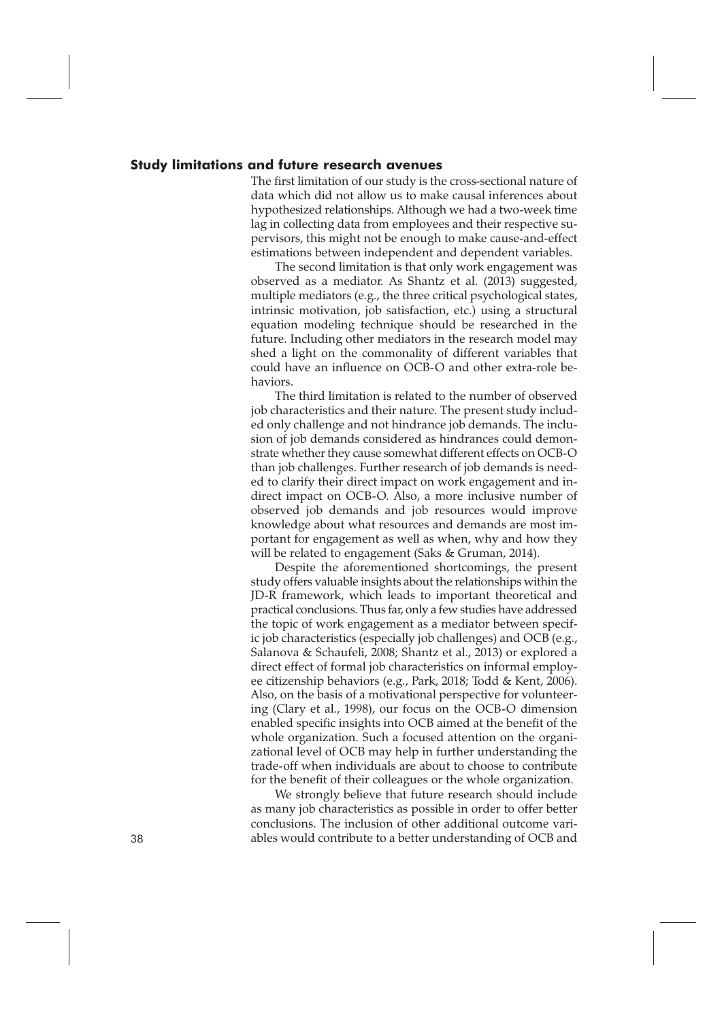# **Study limitations and future research avenues**

The first limitation of our study is the cross-sectional nature of data which did not allow us to make causal inferences about hypothesized relationships. Although we had a two-week time lag in collecting data from employees and their respective supervisors, this might not be enough to make cause-and-effect estimations between independent and dependent variables.

The second limitation is that only work engagement was observed as a mediator. As Shantz et al. (2013) suggested, multiple mediators (e.g., the three critical psychological states, intrinsic motivation, job satisfaction, etc.) using a structural equation modeling technique should be researched in the future. Including other mediators in the research model may shed a light on the commonality of different variables that could have an influence on OCB-O and other extra-role behaviors.

The third limitation is related to the number of observed job characteristics and their nature. The present study included only challenge and not hindrance job demands. The inclusion of job demands considered as hindrances could demonstrate whether they cause somewhat different effects on OCB-O than job challenges. Further research of job demands is needed to clarify their direct impact on work engagement and indirect impact on OCB-O. Also, a more inclusive number of observed job demands and job resources would improve knowledge about what resources and demands are most important for engagement as well as when, why and how they will be related to engagement (Saks & Gruman, 2014).

Despite the aforementioned shortcomings, the present study offers valuable insights about the relationships within the JD-R framework, which leads to important theoretical and practical conclusions. Thus far, only a few studies have addressed the topic of work engagement as a mediator between specific job characteristics (especially job challenges) and OCB (e.g., Salanova & Schaufeli, 2008; Shantz et al., 2013) or explored a direct effect of formal job characteristics on informal employee citizenship behaviors (e.g., Park, 2018; Todd & Kent, 2006). Also, on the basis of a motivational perspective for volunteering (Clary et al., 1998), our focus on the OCB-O dimension enabled specific insights into OCB aimed at the benefit of the whole organization. Such a focused attention on the organizational level of OCB may help in further understanding the trade-off when individuals are about to choose to contribute for the benefit of their colleagues or the whole organization.

We strongly believe that future research should include as many job characteristics as possible in order to offer better conclusions. The inclusion of other additional outcome vari-38 ables would contribute to a better understanding of OCB and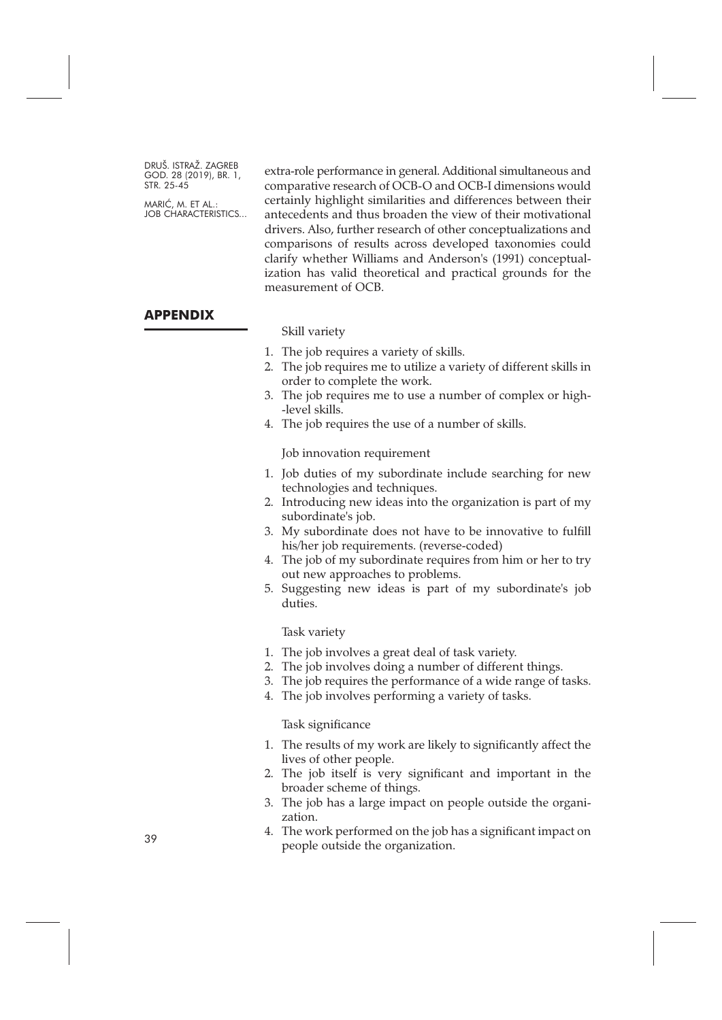MARIĆ, M. ET AL.: JOB CHARACTERISTICS... extra-role performance in general. Additional simultaneous and comparative research of OCB-O and OCB-I dimensions would certainly highlight similarities and differences between their antecedents and thus broaden the view of their motivational drivers. Also, further research of other conceptualizations and comparisons of results across developed taxonomies could clarify whether Williams and Anderson's (1991) conceptualization has valid theoretical and practical grounds for the measurement of OCB.

# **APPENDIX**

Skill variety

- 1. The job requires a variety of skills.
- 2. The job requires me to utilize a variety of different skills in order to complete the work.
- 3. The job requires me to use a number of complex or high- -level skills.
- 4. The job requires the use of a number of skills.

Job innovation requirement

- 1. Job duties of my subordinate include searching for new technologies and techniques.
- 2. Introducing new ideas into the organization is part of my subordinate's job.
- 3. My subordinate does not have to be innovative to fulfill his/her job requirements. (reverse-coded)
- 4. The job of my subordinate requires from him or her to try out new approaches to problems.
- 5. Suggesting new ideas is part of my subordinate's job duties.

#### Task variety

- 1. The job involves a great deal of task variety.
- 2. The job involves doing a number of different things.
- 3. The job requires the performance of a wide range of tasks.
- 4. The job involves performing a variety of tasks.

#### Task significance

- 1. The results of my work are likely to significantly affect the lives of other people.
- 2. The job itself is very significant and important in the broader scheme of things.
- 3. The job has a large impact on people outside the organization.
- 4. The work performed on the job has a significant impact on 39 **EXECUTE:** The WORK performed on the job is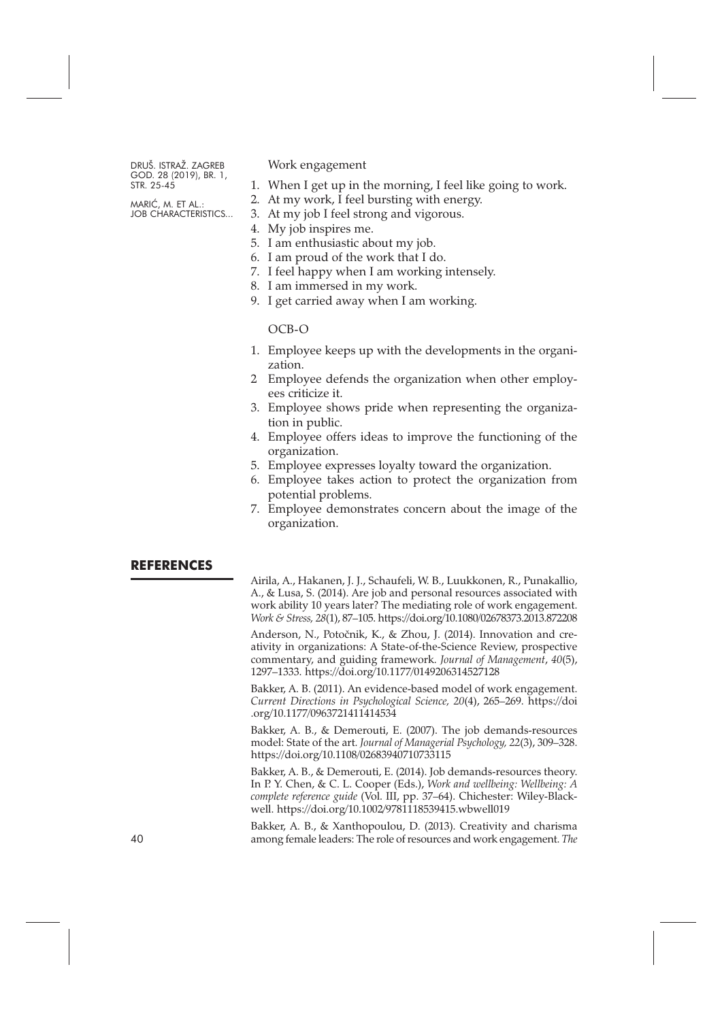MARIĆ, M. ET AL.: JOB CHARACTERISTICS...

### Work engagement

- 1. When I get up in the morning, I feel like going to work.
- 2. At my work, I feel bursting with energy.
- 3. At my job I feel strong and vigorous.
- 4. My job inspires me.
- 5. I am enthusiastic about my job.
- 6. I am proud of the work that I do.
- 7. I feel happy when I am working intensely.
- 8. I am immersed in my work.
- 9. I get carried away when I am working.

#### OCB-O

- 1. Employee keeps up with the developments in the organization.
- 2 Employee defends the organization when other employees criticize it.
- 3. Employee shows pride when representing the organization in public.
- 4. Employee offers ideas to improve the functioning of the organization.
- 5. Employee expresses loyalty toward the organization.
- 6. Employee takes action to protect the organization from potential problems.
- 7. Employee demonstrates concern about the image of the organization.

#### **REFERENCES**

Airila, A., Hakanen, J. J., Schaufeli, W. B., Luukkonen, R., Punakallio, A., & Lusa, S. (2014). Are job and personal resources associated with work ability 10 years later? The mediating role of work engagement. *Work & Stress, 28*(1), 87–105. <https://doi.org/10.1080/02678373.2013.872208>

Anderson, N., Potočnik, K., & Zhou, J. (2014). Innovation and creativity in organizations: A State-of-the-Science Review, prospective commentary, and guiding framework. *Journal of Management*, *40*(5), 1297–1333. <https://doi.org/10.1177/0149206314527128>

Bakker, A. B. (2011). An evidence-based model of work engagement. *Current Directions in Psychological Science, 20*(4), 265–269. [https://doi](https://doi.org/10.1177/0963721411414534) [.org/10.1177/0963721411414534](https://doi.org/10.1177/0963721411414534)

Bakker, A. B., & Demerouti, E. (2007). The job demands-resources model: State of the art. *Journal of Managerial Psychology, 22*(3), 309–328. <https://doi.org/10.1108/02683940710733115>

Bakker, A. B., & Demerouti, E. (2014). Job demands-resources theory. In P. Y. Chen, & C. L. Cooper (Eds.), *Work and wellbeing: Wellbeing: A complete reference guide* (Vol. III, pp. 37–64). Chichester: Wiley-Blackwell. <https://doi.org/10.1002/9781118539415.wbwell019>

Bakker, A. B., & Xanthopoulou, D. (2013). Creativity and charisma among female leaders: The role of resources and work engagement. *The*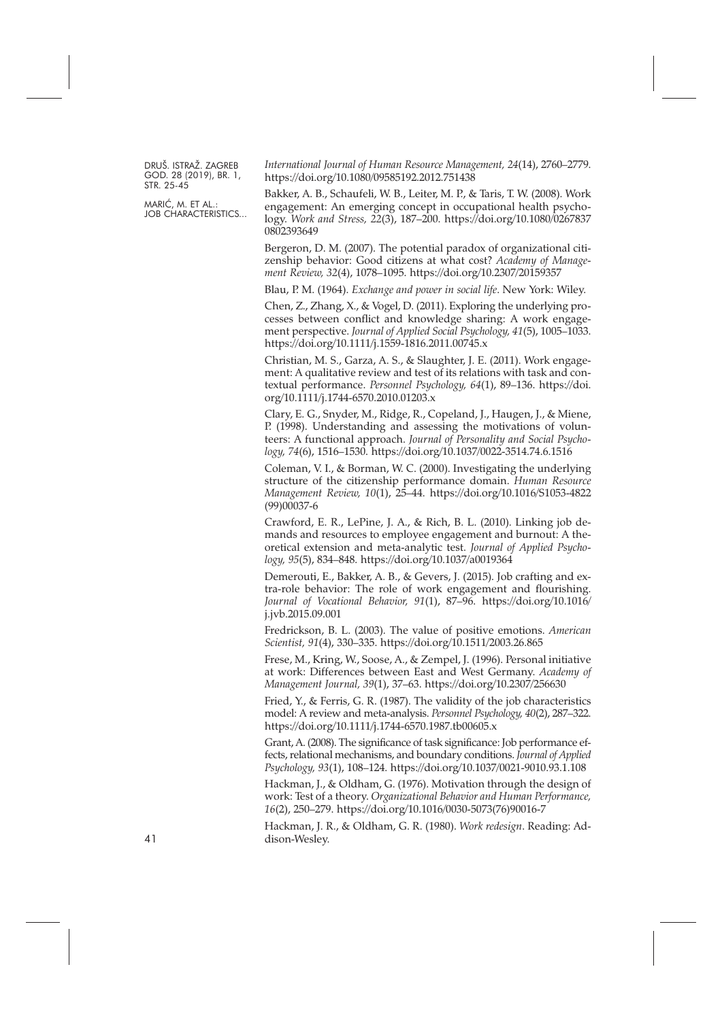MARIĆ, M. ET AL.: JOB CHARACTERISTICS... *International Journal of Human Resource Management, 24*(14), 2760–2779. <https://doi.org/10.1080/09585192.2012.751438>

Bakker, A. B., Schaufeli, W. B., Leiter, M. P., & Taris, T. W. (2008). Work engagement: An emerging concept in occupational health psychology. *Work and Stress, 22*(3), 187–200. [https://doi.org/10.1080/0267837](https://doi.org/10.1080/02678370802393649) [0802393649](https://doi.org/10.1080/02678370802393649)

Bergeron, D. M. (2007). The potential paradox of organizational citizenship behavior: Good citizens at what cost? *Academy of Management Review, 32*(4), 1078–1095. <https://doi.org/10.2307/20159357>

Blau, P. M. (1964). *Exchange and power in social life*. New York: Wiley.

Chen, Z., Zhang, X., & Vogel, D. (2011). Exploring the underlying processes between conflict and knowledge sharing: A work engagement perspective. *Journal of Applied Social Psychology, 41*(5), 1005–1033. <https://doi.org/10.1111/j.1559-1816.2011.00745.x>

Christian, M. S., Garza, A. S., & Slaughter, J. E. (2011). Work engagement: A qualitative review and test of its relations with task and contextual performance. *Personnel Psychology, 64*(1), 89–136. [https://doi.](https://doi.org/10.1111/j.1744-6570.2010.01203.x) [org/10.1111/j.1744-6570.2010.01203.x](https://doi.org/10.1111/j.1744-6570.2010.01203.x)

Clary, E. G., Snyder, M., Ridge, R., Copeland, J., Haugen, J., & Miene, P. (1998). Understanding and assessing the motivations of volunteers: A functional approach. *Journal of Personality and Social Psychology, 74*(6), 1516–1530. <https://doi.org/10.1037/0022-3514.74.6.1516>

Coleman, V. I., & Borman, W. C. (2000). Investigating the underlying structure of the citizenship performance domain. *Human Resource Management Review, 10*(1), 25–44. [https://doi.org/10.1016/S1053-4822](https://doi.org/10.1016/S1053-4822(99)00037-6) [\(99\)00037-6](https://doi.org/10.1016/S1053-4822(99)00037-6)

Crawford, E. R., LePine, J. A., & Rich, B. L. (2010). Linking job demands and resources to employee engagement and burnout: A theoretical extension and meta-analytic test. *Journal of Applied Psychology, 95*(5), 834–848. <https://doi.org/10.1037/a0019364>

Demerouti, E., Bakker, A. B., & Gevers, J. (2015). Job crafting and extra-role behavior: The role of work engagement and flourishing. *Journal of Vocational Behavior, 91*(1), 87–96. [https://doi.org/10.1016/](https://doi.org/10.1016/j.jvb.2015.09.001) [j.jvb.2015.09.001](https://doi.org/10.1016/j.jvb.2015.09.001)

Fredrickson, B. L. (2003). The value of positive emotions. *American Scientist, 91*(4), 330–335. <https://doi.org/10.1511/2003.26.865>

Frese, M., Kring, W., Soose, A., & Zempel, J. (1996). Personal initiative at work: Differences between East and West Germany. *Academy of Management Journal, 39*(1), 37–63. <https://doi.org/10.2307/256630>

Fried, Y., & Ferris, G. R. (1987). The validity of the job characteristics model: A review and meta-analysis. *Personnel Psychology, 40*(2), 287–322. <https://doi.org/10.1111/j.1744-6570.1987.tb00605.x>

Grant,A. (2008). The significance of task significance: Job performance effects, relational mechanisms, and boundary conditions. Journal of Applied *Psychology, 93*(1), 108–124. <https://doi.org/10.1037/0021-9010.93.1.108>

Hackman, J., & Oldham, G. (1976). Motivation through the design of work: Test of a theory. *Organizational Behavior and Human Performance, 16*(2), 250–279. [https://doi.org/10.1016/0030-5073\(76\)90016-7](https://doi.org/10.1016/0030-5073(76)90016-7)

Hackman, J. R., & Oldham, G. R. (1980). *Work redesign*. Reading: Ad-41 dison-Wesley.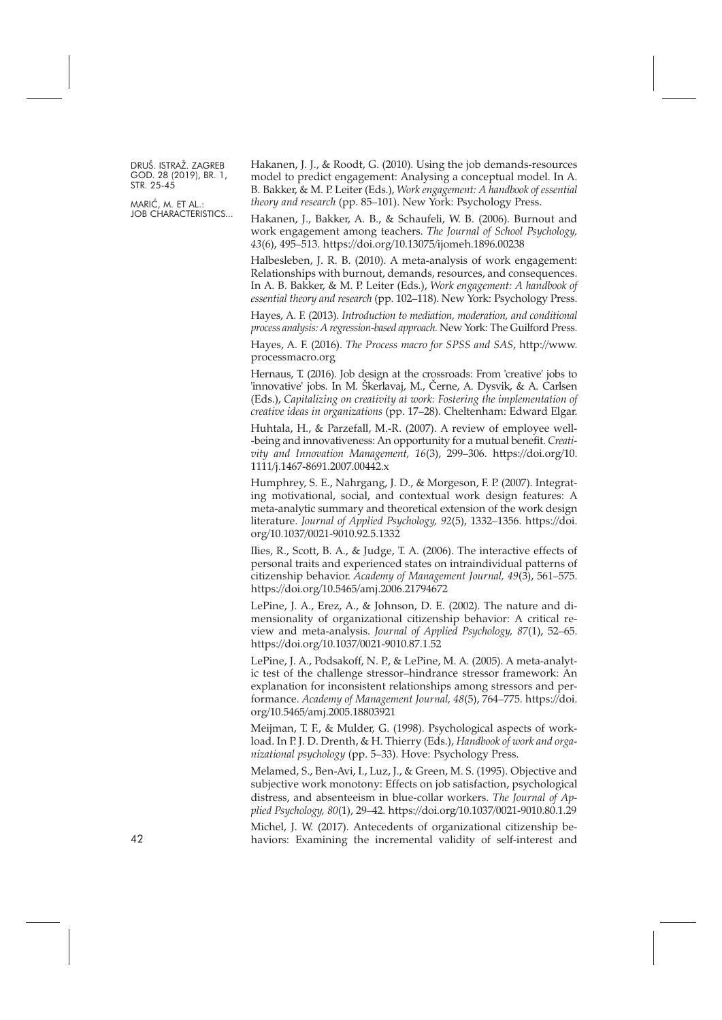MARIĆ, M. ET AL.: JOB CHARACTERISTICS... Hakanen, J. J., & Roodt, G. (2010). Using the job demands-resources model to predict engagement: Analysing a conceptual model. In A. B. Bakker, & M. P. Leiter (Eds.), *Work engagement: A handbook of essential theory and research* (pp. 85–101). New York: Psychology Press.

Hakanen, J., Bakker, A. B., & Schaufeli, W. B. (2006). Burnout and work engagement among teachers. *The Journal of School Psychology, 43*(6), 495–513. <https://doi.org/10.13075/ijomeh.1896.00238>

Halbesleben, J. R. B. (2010). A meta-analysis of work engagement: Relationships with burnout, demands, resources, and consequences. In A. B. Bakker, & M. P. Leiter (Eds.), *Work engagement: A handbook of essential theory and research* (pp. 102–118). New York: Psychology Press.

Hayes, A. F. (2013). *Introduction to mediation, moderation, and conditional process analysis: A regression-based approach.* New York: The Guilford Press. Hayes, A. F. (2016). *The Process macro for SPSS and SAS*, [http://www.](http://www.processmacro.org)

[processmacro.org](http://www.processmacro.org)

Hernaus, T. (2016). Job design at the crossroads: From 'creative' jobs to 'innovative' jobs. In M. Škerlavaj, M., Černe, A. Dysvik, & A. Carlsen (Eds.), *Capitalizing on creativity at work: Fostering the implementation of creative ideas in organizations* (pp. 17–28). Cheltenham: Edward Elgar.

Huhtala, H., & Parzefall, M.-R. (2007). A review of employee well- -being and innovativeness: An opportunity for a mutual benefit. *Creativity and Innovation Management, 16*(3), 299–306. [https://doi.org/10.](https://doi.org/10.1111/j.1467-8691.2007.00442.x) [1111/j.1467-8691.2007.00442.x](https://doi.org/10.1111/j.1467-8691.2007.00442.x)

Humphrey, S. E., Nahrgang, J. D., & Morgeson, F. P. (2007). Integrating motivational, social, and contextual work design features: A meta-analytic summary and theoretical extension of the work design literature. *Journal of Applied Psychology, 92*(5), 1332–1356. [https://doi.](https://doi.org/10.1037/0021-9010.92.5.1332) [org/10.1037/0021-9010.92.5.1332](https://doi.org/10.1037/0021-9010.92.5.1332)

Ilies, R., Scott, B. A., & Judge, T. A. (2006). The interactive effects of personal traits and experienced states on intraindividual patterns of citizenship behavior. *Academy of Management Journal, 49*(3), 561–575. <https://doi.org/10.5465/amj.2006.21794672>

LePine, J. A., Erez, A., & Johnson, D. E. (2002). The nature and dimensionality of organizational citizenship behavior: A critical review and meta-analysis. *Journal of Applied Psychology, 87*(1), 52–65. <https://doi.org/10.1037/0021-9010.87.1.52>

LePine, J. A., Podsakoff, N. P., & LePine, M. A. (2005). A meta-analytic test of the challenge stressor–hindrance stressor framework: An explanation for inconsistent relationships among stressors and performance. *Academy of Management Journal, 48*(5), 764–775. [https://doi.](https://doi.org/10.5465/amj.2005.18803921) [org/10.5465/amj.2005.18803921](https://doi.org/10.5465/amj.2005.18803921)

Meijman, T. F., & Mulder, G. (1998). Psychological aspects of workload. In P. J. D. Drenth, & H. Thierry (Eds.), *Handbook of work and organizational psychology* (pp. 5–33). Hove: Psychology Press.

Melamed, S., Ben-Avi, I., Luz, J., & Green, M. S. (1995). Objective and subjective work monotony: Effects on job satisfaction, psychological distress, and absenteeism in blue-collar workers. *The Journal of Applied Psychology, 80*(1), 29–42. <https://doi.org/10.1037/0021-9010.80.1.29>

Michel, J. W. (2017). Antecedents of organizational citizenship behaviors: Examining the incremental validity of self-interest and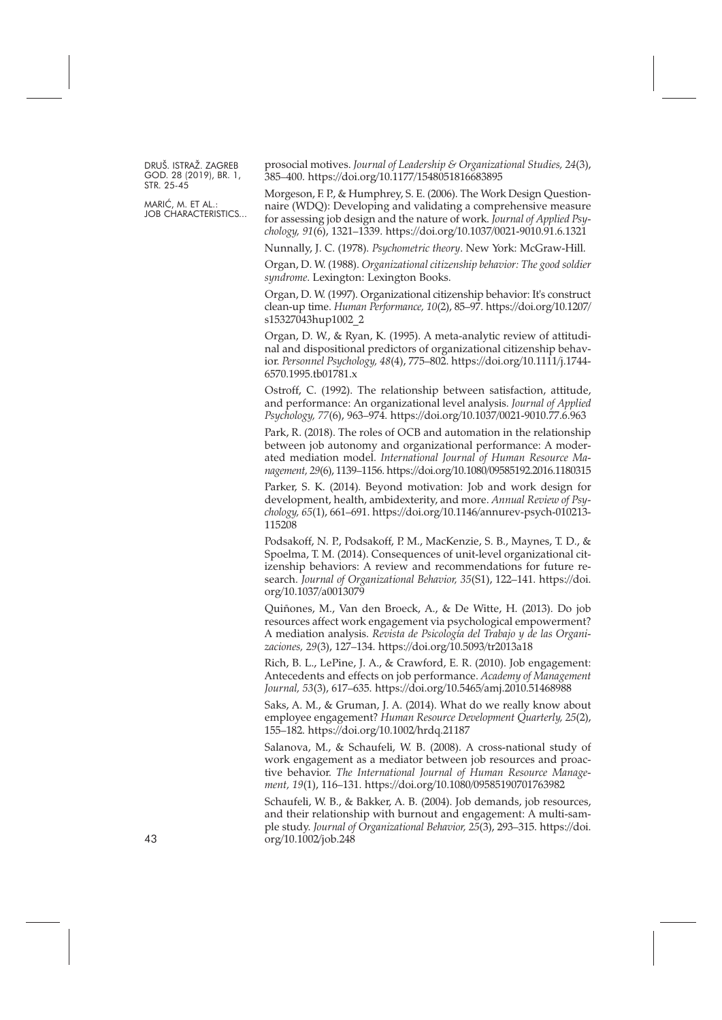MARIĆ, M. ET AL.: JOB CHARACTERISTICS... prosocial motives. *Journal of Leadership & Organizational Studies, 24*(3), 385–400. <https://doi.org/10.1177/1548051816683895>

Morgeson, F. P., & Humphrey, S. E. (2006). The Work Design Questionnaire (WDQ): Developing and validating a comprehensive measure for assessing job design and the nature of work. *Journal of Applied Psychology, 91*(6), 1321–1339. <https://doi.org/10.1037/0021-9010.91.6.1321>

Nunnally, J. C. (1978). *Psychometric theory*. New York: McGraw-Hill.

Organ, D. W. (1988). *Organizational citizenship behavior: The good soldier syndrome*. Lexington: Lexington Books.

Organ, D. W. (1997). Organizational citizenship behavior: It's construct clean-up time. *Human Performance, 10*(2), 85–97. [https://doi.org/10.1207/](https://doi.org/10.1207/s15327043hup1002_2) [s15327043hup1002\\_2](https://doi.org/10.1207/s15327043hup1002_2)

Organ, D. W., & Ryan, K. (1995). A meta-analytic review of attitudinal and dispositional predictors of organizational citizenship behavior. *Personnel Psychology, 48*(4), 775–802. [https://doi.org/10.1111/j.1744-](https://doi.org/10.1111/j.1744-6570.1995.tb01781.x) [6570.1995.tb01781.x](https://doi.org/10.1111/j.1744-6570.1995.tb01781.x)

Ostroff, C. (1992). The relationship between satisfaction, attitude, and performance: An organizational level analysis. *Journal of Applied Psychology, 77*(6), 963–974. <https://doi.org/10.1037/0021-9010.77.6.963>

Park, R. (2018). The roles of OCB and automation in the relationship between job autonomy and organizational performance: A moderated mediation model. *International Journal of Human Resource Management, 29*(6), 1139–1156. <https://doi.org/10.1080/09585192.2016.1180315>

Parker, S. K. (2014). Beyond motivation: Job and work design for development, health, ambidexterity, and more. *Annual Review of Psychology, 65*(1), 661–691. [https://doi.org/10.1146/annurev-psych-010213-](https://doi.org/10.1146/annurev-psych-010213-115208) [115208](https://doi.org/10.1146/annurev-psych-010213-115208)

Podsakoff, N. P., Podsakoff, P. M., MacKenzie, S. B., Maynes, T. D., & Spoelma, T. M. (2014). Consequences of unit-level organizational citizenship behaviors: A review and recommendations for future research. *Journal of Organizational Behavior, 35*(S1), 122–141. [https://doi.](https://doi.org/10.1037/a0013079) [org/10.1037/a0013079](https://doi.org/10.1037/a0013079)

Quiñones, M., Van den Broeck, A., & De Witte, H. (2013). Do job resources affect work engagement via psychological empowerment? A mediation analysis. *Revista de Psicología del Trabajo y de las Organizaciones, 29*(3), 127–134. <https://doi.org/10.5093/tr2013a18>

Rich, B. L., LePine, J. A., & Crawford, E. R. (2010). Job engagement: Antecedents and effects on job performance. *Academy of Management Journal, 53*(3), 617–635. <https://doi.org/10.5465/amj.2010.51468988>

Saks, A. M., & Gruman, J. A. (2014). What do we really know about employee engagement? *Human Resource Development Quarterly, 25*(2), 155–182. <https://doi.org/10.1002/hrdq.21187>

Salanova, M., & Schaufeli, W. B. (2008). A cross-national study of work engagement as a mediator between job resources and proactive behavior. *The International Journal of Human Resource Management, 19*(1), 116–131. <https://doi.org/10.1080/09585190701763982>

Schaufeli, W. B., & Bakker, A. B. (2004). Job demands, job resources, and their relationship with burnout and engagement: A multi-sample study. *Journal of Organizational Behavior, 25*(3), 293–315. [https://doi.](https://doi.org/10.1002/job.248) 43 [org/10.1002/job.248](https://doi.org/10.1002/job.248)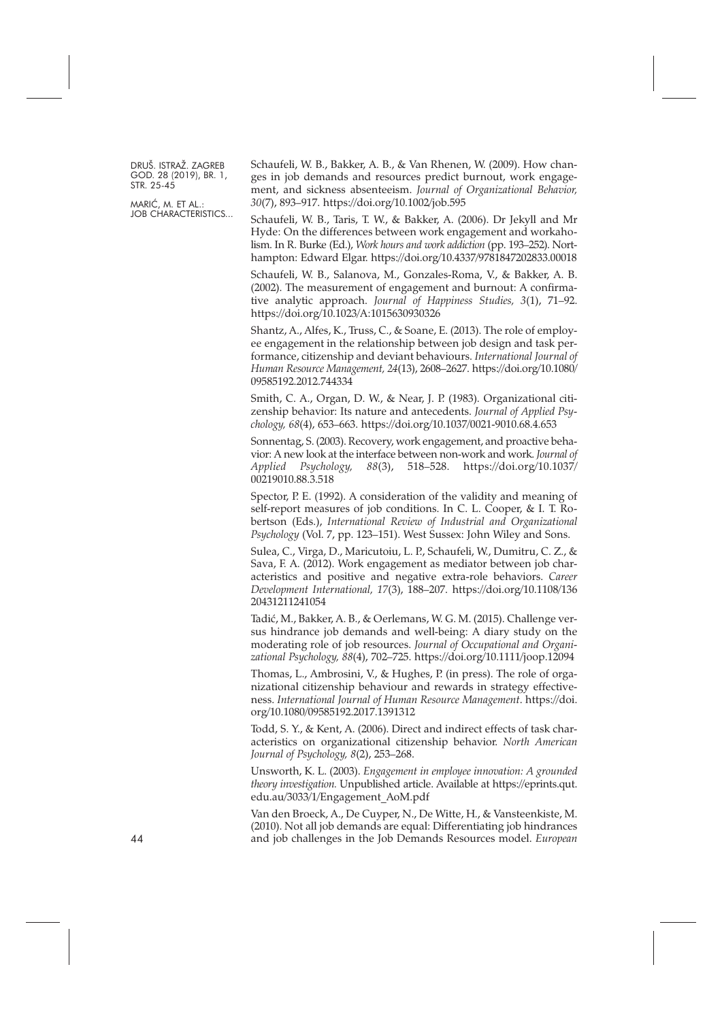MARIĆ, M. ET AL.: JOB CHARACTERISTICS... Schaufeli, W. B., Bakker, A. B., & Van Rhenen, W. (2009). How changes in job demands and resources predict burnout, work engagement, and sickness absenteeism. *Journal of Organizational Behavior, 30*(7), 893–917. <https://doi.org/10.1002/job.595>

Schaufeli, W. B., Taris, T. W., & Bakker, A. (2006). Dr Jekyll and Mr Hyde: On the differences between work engagement and workaholism. In R. Burke (Ed.), *Work hours and work addiction* (pp. 193–252). Northampton: Edward Elgar. <https://doi.org/10.4337/9781847202833.00018>

Schaufeli, W. B., Salanova, M., Gonzales-Roma, V., & Bakker, A. B. (2002). The measurement of engagement and burnout: A confirmative analytic approach. *Journal of Happiness Studies, 3*(1), 71–92. <https://doi.org/10.1023/A:1015630930326>

Shantz, A., Alfes, K., Truss, C., & Soane, E. (2013). The role of employee engagement in the relationship between job design and task performance, citizenship and deviant behaviours. *International Journal of Human Resource Management, 24*(13), 2608–2627. [https://doi.org/10.1080/](https://doi.org/10.1080/09585192.2012.744334) [09585192.2012.744334](https://doi.org/10.1080/09585192.2012.744334)

Smith, C. A., Organ, D. W., & Near, J. P. (1983). Organizational citizenship behavior: Its nature and antecedents. *Journal of Applied Psychology, 68*(4), 653–663. <https://doi.org/10.1037/0021-9010.68.4.653>

Sonnentag, S. (2003). Recovery, work engagement, and proactive behavior: A new look at the interface between non-work and work. *Journal of Applied Psychology, 88*(3), 518–528. [https://doi.org/10.1037/](https://doi.org/10.1037/0021-9010.88.3.518) [00219010.88.3.518](https://doi.org/10.1037/0021-9010.88.3.518)

Spector, P. E. (1992). A consideration of the validity and meaning of self-report measures of job conditions. In C. L. Cooper, & I. T. Robertson (Eds.), *International Review of Industrial and Organizational Psychology* (Vol. 7, pp. 123–151). West Sussex: John Wiley and Sons.

Sulea, C., Virga, D., Maricutoiu, L. P., Schaufeli, W., Dumitru, C. Z., & Sava, F. A. (2012). Work engagement as mediator between job characteristics and positive and negative extra-role behaviors. *Career Development International, 17*(3), 188–207. [https://doi.org/10.1108/136](https://doi.org/10.1108/13620431211241054) [20431211241054](https://doi.org/10.1108/13620431211241054)

Tadić, M., Bakker, A. B., & Oerlemans, W. G. M. (2015). Challenge versus hindrance job demands and well-being: A diary study on the moderating role of job resources. *Journal of Occupational and Organizational Psychology, 88*(4), 702–725. <https://doi.org/10.1111/joop.12094>

Thomas, L., Ambrosini, V., & Hughes, P. (in press). The role of organizational citizenship behaviour and rewards in strategy effectiveness. *International Journal of Human Resource Management*. [https://doi.](https://doi.org/10.1080/09585192.2017.1391312) [org/10.1080/09585192.2017.1391312](https://doi.org/10.1080/09585192.2017.1391312)

Todd, S. Y., & Kent, A. (2006). Direct and indirect effects of task characteristics on organizational citizenship behavior. *North American Journal of Psychology, 8*(2), 253–268.

Unsworth, K. L. (2003). *Engagement in employee innovation: A grounded theory investigation.* Unpublished article. Available at [https://eprints.qut.](https://eprints.qut.edu.au/3033/1/Engagement_AoM.pdf) [edu.au/3033/1/Engagement\\_AoM.pdf](https://eprints.qut.edu.au/3033/1/Engagement_AoM.pdf)

Van den Broeck, A., De Cuyper, N., De Witte, H., & Vansteenkiste, M. (2010). Not all job demands are equal: Differentiating job hindrances and job challenges in the Job Demands Resources model. *European*